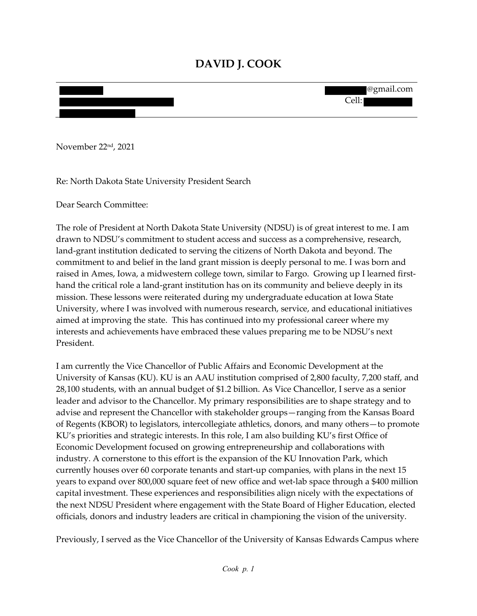# **DAVID J. COOK**

| @gmail.com<br><b>The Second Second Second Second</b> |
|------------------------------------------------------|
|                                                      |
| Cell:                                                |
|                                                      |
|                                                      |

November 22nd, 2021

Re: North Dakota State University President Search

Dear Search Committee:

The role of President at North Dakota State University (NDSU) is of great interest to me. I am drawn to NDSU's commitment to student access and success as a comprehensive, research, land-grant institution dedicated to serving the citizens of North Dakota and beyond. The commitment to and belief in the land grant mission is deeply personal to me. I was born and raised in Ames, Iowa, a midwestern college town, similar to Fargo. Growing up I learned firsthand the critical role a land-grant institution has on its community and believe deeply in its mission. These lessons were reiterated during my undergraduate education at Iowa State University, where I was involved with numerous research, service, and educational initiatives aimed at improving the state. This has continued into my professional career where my interests and achievements have embraced these values preparing me to be NDSU's next President.

I am currently the Vice Chancellor of Public Affairs and Economic Development at the University of Kansas (KU). KU is an AAU institution comprised of 2,800 faculty, 7,200 staff, and 28,100 students, with an annual budget of \$1.2 billion. As Vice Chancellor, I serve as a senior leader and advisor to the Chancellor. My primary responsibilities are to shape strategy and to advise and represent the Chancellor with stakeholder groups—ranging from the Kansas Board of Regents (KBOR) to legislators, intercollegiate athletics, donors, and many others—to promote KU's priorities and strategic interests. In this role, I am also building KU's first Office of Economic Development focused on growing entrepreneurship and collaborations with industry. A cornerstone to this effort is the expansion of the KU Innovation Park, which currently houses over 60 corporate tenants and start-up companies, with plans in the next 15 years to expand over 800,000 square feet of new office and wet-lab space through a \$400 million capital investment. These experiences and responsibilities align nicely with the expectations of the next NDSU President where engagement with the State Board of Higher Education, elected officials, donors and industry leaders are critical in championing the vision of the university.

Previously, I served as the Vice Chancellor of the University of Kansas Edwards Campus where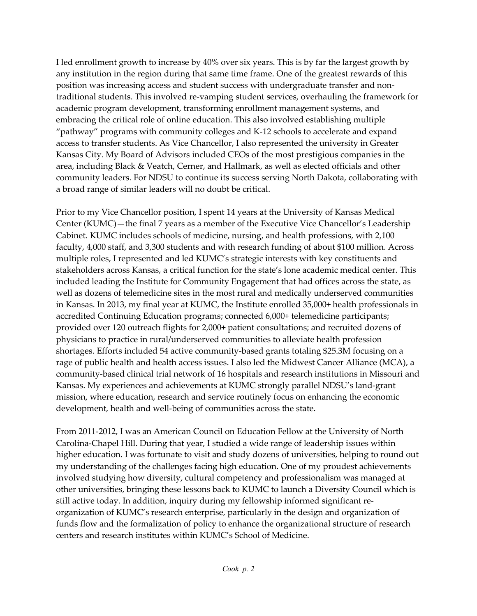I led enrollment growth to increase by 40% over six years. This is by far the largest growth by any institution in the region during that same time frame. One of the greatest rewards of this position was increasing access and student success with undergraduate transfer and nontraditional students. This involved re-vamping student services, overhauling the framework for academic program development, transforming enrollment management systems, and embracing the critical role of online education. This also involved establishing multiple "pathway" programs with community colleges and K-12 schools to accelerate and expand access to transfer students. As Vice Chancellor, I also represented the university in Greater Kansas City. My Board of Advisors included CEOs of the most prestigious companies in the area, including Black & Veatch, Cerner, and Hallmark, as well as elected officials and other community leaders. For NDSU to continue its success serving North Dakota, collaborating with a broad range of similar leaders will no doubt be critical.

Prior to my Vice Chancellor position, I spent 14 years at the University of Kansas Medical Center (KUMC)—the final 7 years as a member of the Executive Vice Chancellor's Leadership Cabinet. KUMC includes schools of medicine, nursing, and health professions, with 2,100 faculty, 4,000 staff, and 3,300 students and with research funding of about \$100 million. Across multiple roles, I represented and led KUMC's strategic interests with key constituents and stakeholders across Kansas, a critical function for the state's lone academic medical center. This included leading the Institute for Community Engagement that had offices across the state, as well as dozens of telemedicine sites in the most rural and medically underserved communities in Kansas. In 2013, my final year at KUMC, the Institute enrolled 35,000+ health professionals in accredited Continuing Education programs; connected 6,000+ telemedicine participants; provided over 120 outreach flights for 2,000+ patient consultations; and recruited dozens of physicians to practice in rural/underserved communities to alleviate health profession shortages. Efforts included 54 active community-based grants totaling \$25.3M focusing on a rage of public health and health access issues. I also led the Midwest Cancer Alliance (MCA), a community-based clinical trial network of 16 hospitals and research institutions in Missouri and Kansas. My experiences and achievements at KUMC strongly parallel NDSU's land-grant mission, where education, research and service routinely focus on enhancing the economic development, health and well-being of communities across the state.

From 2011-2012, I was an American Council on Education Fellow at the University of North Carolina-Chapel Hill. During that year, I studied a wide range of leadership issues within higher education. I was fortunate to visit and study dozens of universities, helping to round out my understanding of the challenges facing high education. One of my proudest achievements involved studying how diversity, cultural competency and professionalism was managed at other universities, bringing these lessons back to KUMC to launch a Diversity Council which is still active today. In addition, inquiry during my fellowship informed significant reorganization of KUMC's research enterprise, particularly in the design and organization of funds flow and the formalization of policy to enhance the organizational structure of research centers and research institutes within KUMC's School of Medicine.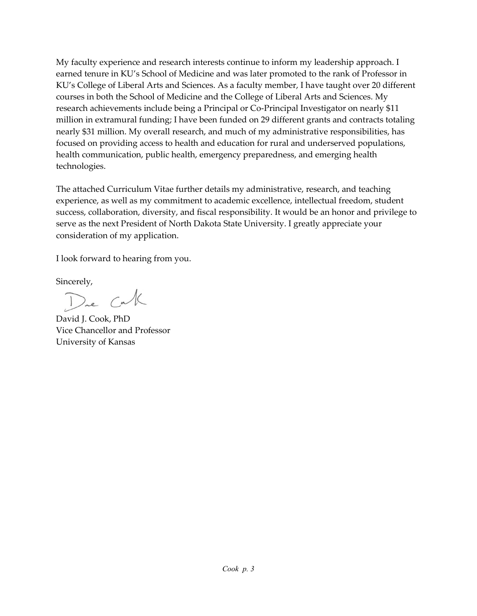My faculty experience and research interests continue to inform my leadership approach. I earned tenure in KU's School of Medicine and was later promoted to the rank of Professor in KU's College of Liberal Arts and Sciences. As a faculty member, I have taught over 20 different courses in both the School of Medicine and the College of Liberal Arts and Sciences. My research achievements include being a Principal or Co-Principal Investigator on nearly \$11 million in extramural funding; I have been funded on 29 different grants and contracts totaling nearly \$31 million. My overall research, and much of my administrative responsibilities, has focused on providing access to health and education for rural and underserved populations, health communication, public health, emergency preparedness, and emerging health technologies.

The attached Curriculum Vitae further details my administrative, research, and teaching experience, as well as my commitment to academic excellence, intellectual freedom, student success, collaboration, diversity, and fiscal responsibility. It would be an honor and privilege to serve as the next President of North Dakota State University. I greatly appreciate your consideration of my application.

I look forward to hearing from you.

Sincerely,

Dre Cak

David J. Cook, PhD Vice Chancellor and Professor University of Kansas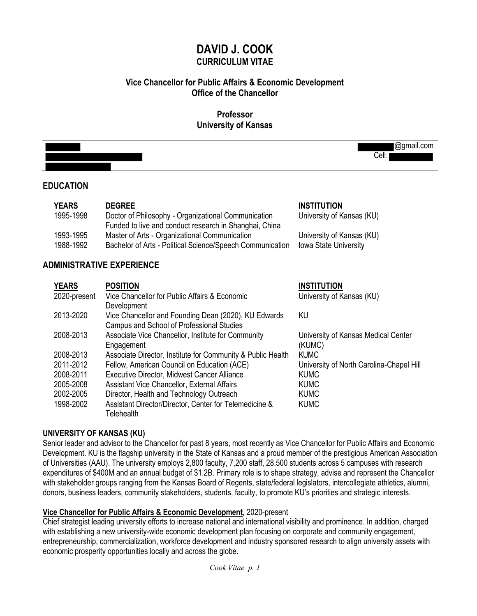# **DAVID J. COOK CURRICULUM VITAE**

# **Vice Chancellor for Public Affairs & Economic Development Office of the Chancellor**

## **Professor University of Kansas**

|                           |                                                                                                                                | @gmail.com<br>Cell:                                |
|---------------------------|--------------------------------------------------------------------------------------------------------------------------------|----------------------------------------------------|
| <b>EDUCATION</b>          |                                                                                                                                |                                                    |
| <b>YEARS</b><br>1995-1998 | <b>DEGREE</b><br>Doctor of Philosophy - Organizational Communication<br>Funded to live and conduct research in Shanghai, China | <b>INSTITUTION</b><br>University of Kansas (KU)    |
| 1993-1995<br>1988-1992    | Master of Arts - Organizational Communication<br>Bachelor of Arts - Political Science/Speech Communication                     | University of Kansas (KU)<br>Iowa State University |
|                           | <b>ADMINISTRATIVE EXPERIENCE</b>                                                                                               |                                                    |
| <b>YEARS</b>              | <b>POSITION</b>                                                                                                                | <b>INSTITUTION</b>                                 |
| 2020-present              | Vice Chancellor for Public Affairs & Economic<br>Development                                                                   | University of Kansas (KU)                          |
| 2013-2020                 | Vice Chancellor and Founding Dean (2020), KU Edwards<br>Campus and School of Professional Studies                              | <b>KU</b>                                          |
| 2008-2013                 | Associate Vice Chancellor, Institute for Community<br>Engagement                                                               | University of Kansas Medical Center<br>(KUMC)      |
| 2008-2013                 | Associate Director, Institute for Community & Public Health                                                                    | <b>KUMC</b>                                        |
| 2011-2012                 | Fellow, American Council on Education (ACE)                                                                                    | University of North Carolina-Chapel Hill           |
| 2008-2011                 | Executive Director, Midwest Cancer Alliance                                                                                    | <b>KUMC</b>                                        |
| 2005-2008                 | Assistant Vice Chancellor, External Affairs                                                                                    | <b>KUMC</b>                                        |
| 2002-2005                 | Director, Health and Technology Outreach                                                                                       | <b>KUMC</b>                                        |
| 1998-2002                 | Assistant Director/Director, Center for Telemedicine &                                                                         | <b>KUMC</b>                                        |

## **UNIVERSITY OF KANSAS (KU)**

**Telehealth** 

Senior leader and advisor to the Chancellor for past 8 years, most recently as Vice Chancellor for Public Affairs and Economic Development. KU is the flagship university in the State of Kansas and a proud member of the prestigious American Association of Universities (AAU). The university employs 2,800 faculty, 7,200 staff, 28,500 students across 5 campuses with research expenditures of \$400M and an annual budget of \$1.2B. Primary role is to shape strategy, advise and represent the Chancellor with stakeholder groups ranging from the Kansas Board of Regents, state/federal legislators, intercollegiate athletics, alumni, donors, business leaders, community stakeholders, students, faculty, to promote KU's priorities and strategic interests.

## **Vice Chancellor for Public Affairs & Economic Development,** 2020-present

Chief strategist leading university efforts to increase national and international visibility and prominence. In addition, charged with establishing a new university-wide economic development plan focusing on corporate and community engagement, entrepreneurship, commercialization, workforce development and industry sponsored research to align university assets with economic prosperity opportunities locally and across the globe.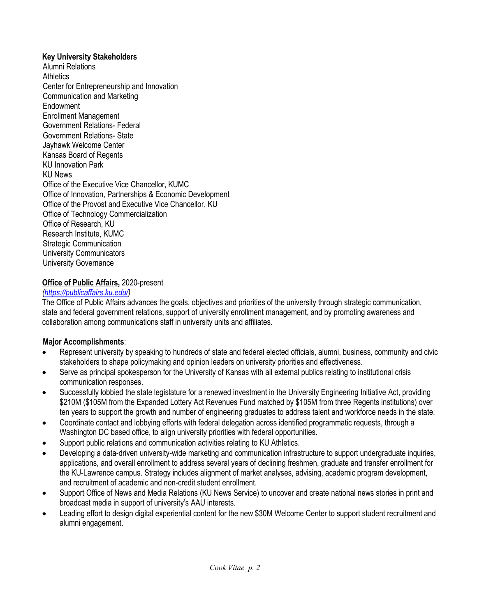#### **Key University Stakeholders**

Alumni Relations **Athletics** Center for Entrepreneurship and Innovation Communication and Marketing Endowment Enrollment Management Government Relations- Federal Government Relations- State Jayhawk Welcome Center Kansas Board of Regents KU Innovation Park KU News Office of the Executive Vice Chancellor, KUMC Office of Innovation, Partnerships & Economic Development Office of the Provost and Executive Vice Chancellor, KU Office of Technology Commercialization Office of Research, KU Research Institute, KUMC Strategic Communication University Communicators University Governance

#### **Office of Public Affairs,** 2020-present

## *(https://publicaffairs.ku.edu/)*

The Office of Public Affairs advances the goals, objectives and priorities of the university through strategic communication, state and federal government relations, support of university enrollment management, and by promoting awareness and collaboration among communications staff in university units and affiliates.

## **Major Accomplishments**:

- Represent university by speaking to hundreds of state and federal elected officials, alumni, business, community and civic stakeholders to shape policymaking and opinion leaders on university priorities and effectiveness.
- Serve as principal spokesperson for the University of Kansas with all external publics relating to institutional crisis communication responses.
- Successfully lobbied the state legislature for a renewed investment in the University Engineering Initiative Act, providing \$210M (\$105M from the Expanded Lottery Act Revenues Fund matched by \$105M from three Regents institutions) over ten years to support the growth and number of engineering graduates to address talent and workforce needs in the state.
- Coordinate contact and lobbying efforts with federal delegation across identified programmatic requests, through a Washington DC based office, to align university priorities with federal opportunities.
- Support public relations and communication activities relating to KU Athletics.
- Developing a data-driven university-wide marketing and communication infrastructure to support undergraduate inquiries, applications, and overall enrollment to address several years of declining freshmen, graduate and transfer enrollment for the KU-Lawrence campus. Strategy includes alignment of market analyses, advising, academic program development, and recruitment of academic and non-credit student enrollment.
- Support Office of News and Media Relations (KU News Service) to uncover and create national news stories in print and broadcast media in support of university's AAU interests.
- Leading effort to design digital experiential content for the new \$30M Welcome Center to support student recruitment and alumni engagement.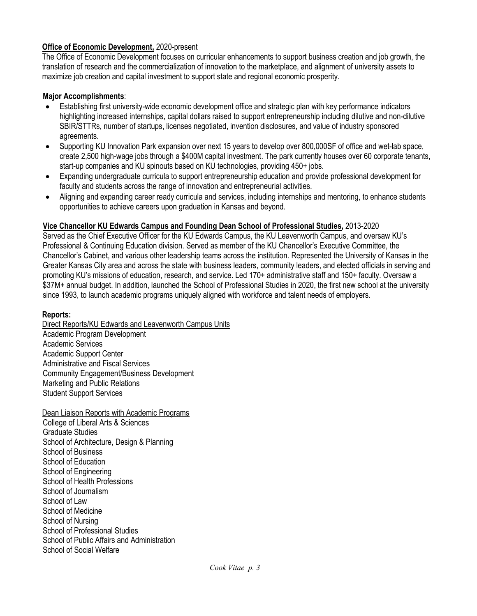## **Office of Economic Development,** 2020-present

The Office of Economic Development focuses on curricular enhancements to support business creation and job growth, the translation of research and the commercialization of innovation to the marketplace, and alignment of university assets to maximize job creation and capital investment to support state and regional economic prosperity.

## **Major Accomplishments**:

- Establishing first university-wide economic development office and strategic plan with key performance indicators highlighting increased internships, capital dollars raised to support entrepreneurship including dilutive and non-dilutive SBIR/STTRs, number of startups, licenses negotiated, invention disclosures, and value of industry sponsored agreements.
- Supporting KU Innovation Park expansion over next 15 years to develop over 800,000SF of office and wet-lab space, create 2,500 high-wage jobs through a \$400M capital investment. The park currently houses over 60 corporate tenants, start-up companies and KU spinouts based on KU technologies, providing 450+ jobs.
- Expanding undergraduate curricula to support entrepreneurship education and provide professional development for faculty and students across the range of innovation and entrepreneurial activities.
- Aligning and expanding career ready curricula and services, including internships and mentoring, to enhance students opportunities to achieve careers upon graduation in Kansas and beyond.

## **Vice Chancellor KU Edwards Campus and Founding Dean School of Professional Studies,** 2013-2020

Served as the Chief Executive Officer for the KU Edwards Campus, the KU Leavenworth Campus, and oversaw KU's Professional & Continuing Education division. Served as member of the KU Chancellor's Executive Committee, the Chancellor's Cabinet, and various other leadership teams across the institution. Represented the University of Kansas in the Greater Kansas City area and across the state with business leaders, community leaders, and elected officials in serving and promoting KU's missions of education, research, and service. Led 170+ administrative staff and 150+ faculty. Oversaw a \$37M+ annual budget. In addition, launched the School of Professional Studies in 2020, the first new school at the university since 1993, to launch academic programs uniquely aligned with workforce and talent needs of employers.

## **Reports:**

Direct Reports/KU Edwards and Leavenworth Campus Units Academic Program Development Academic Services Academic Support Center Administrative and Fiscal Services Community Engagement/Business Development Marketing and Public Relations Student Support Services

Dean Liaison Reports with Academic Programs College of Liberal Arts & Sciences Graduate Studies School of Architecture, Design & Planning School of Business School of Education School of Engineering School of Health Professions School of Journalism School of Law School of Medicine School of Nursing School of Professional Studies School of Public Affairs and Administration School of Social Welfare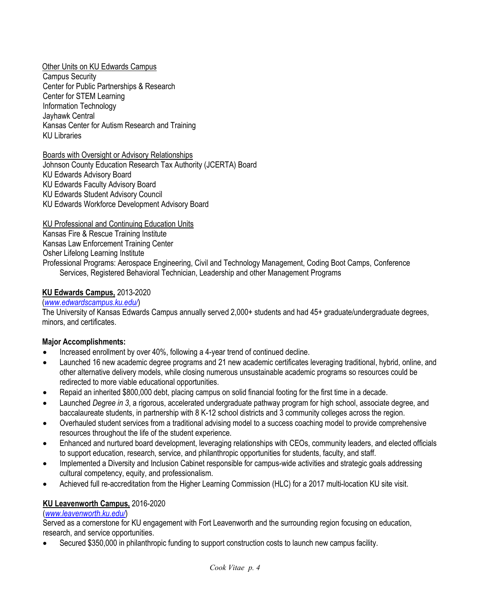Other Units on KU Edwards Campus Campus Security Center for Public Partnerships & Research Center for STEM Learning Information Technology Jayhawk Central Kansas Center for Autism Research and Training KU Libraries

Boards with Oversight or Advisory Relationships Johnson County Education Research Tax Authority (JCERTA) Board KU Edwards Advisory Board KU Edwards Faculty Advisory Board KU Edwards Student Advisory Council KU Edwards Workforce Development Advisory Board

KU Professional and Continuing Education Units

Kansas Fire & Rescue Training Institute Kansas Law Enforcement Training Center Osher Lifelong Learning Institute Professional Programs: Aerospace Engineering, Civil and Technology Management, Coding Boot Camps, Conference Services, Registered Behavioral Technician, Leadership and other Management Programs

## **KU Edwards Campus,** 2013-2020

#### (*www.edwardscampus.ku.edu/*)

The University of Kansas Edwards Campus annually served 2,000+ students and had 45+ graduate/undergraduate degrees, minors, and certificates.

## **Major Accomplishments:**

- Increased enrollment by over 40%, following a 4-year trend of continued decline.
- Launched 16 new academic degree programs and 21 new academic certificates leveraging traditional, hybrid, online, and other alternative delivery models, while closing numerous unsustainable academic programs so resources could be redirected to more viable educational opportunities.
- Repaid an inherited \$800,000 debt, placing campus on solid financial footing for the first time in a decade.
- Launched *Degree in 3*, a rigorous, accelerated undergraduate pathway program for high school, associate degree, and baccalaureate students, in partnership with 8 K-12 school districts and 3 community colleges across the region.
- Overhauled student services from a traditional advising model to a success coaching model to provide comprehensive resources throughout the life of the student experience.
- Enhanced and nurtured board development, leveraging relationships with CEOs, community leaders, and elected officials to support education, research, service, and philanthropic opportunities for students, faculty, and staff.
- Implemented a Diversity and Inclusion Cabinet responsible for campus-wide activities and strategic goals addressing cultural competency, equity, and professionalism.
- Achieved full re-accreditation from the Higher Learning Commission (HLC) for a 2017 multi-location KU site visit.

# **KU Leavenworth Campus,** 2016-2020

# (*www.leavenworth.ku.edu/*)

Served as a cornerstone for KU engagement with Fort Leavenworth and the surrounding region focusing on education, research, and service opportunities.

• Secured \$350,000 in philanthropic funding to support construction costs to launch new campus facility.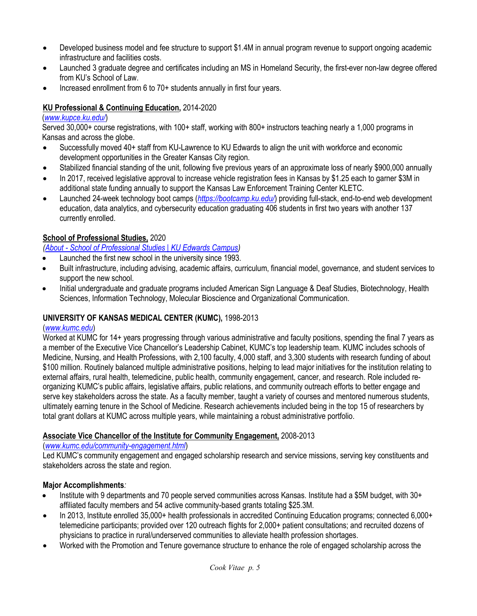- Developed business model and fee structure to support \$1.4M in annual program revenue to support ongoing academic infrastructure and facilities costs.
- Launched 3 graduate degree and certificates including an MS in Homeland Security, the first-ever non-law degree offered from KU's School of Law.
- Increased enrollment from 6 to 70+ students annually in first four years.

## **KU Professional & Continuing Education,** 2014-2020

#### (*www.kupce.ku.edu/*)

Served 30,000+ course registrations, with 100+ staff, working with 800+ instructors teaching nearly a 1,000 programs in Kansas and across the globe.

- Successfully moved 40+ staff from KU-Lawrence to KU Edwards to align the unit with workforce and economic development opportunities in the Greater Kansas City region.
- Stabilized financial standing of the unit, following five previous years of an approximate loss of nearly \$900,000 annually
- In 2017, received legislative approval to increase vehicle registration fees in Kansas by \$1.25 each to garner \$3M in additional state funding annually to support the Kansas Law Enforcement Training Center KLETC.
- Launched 24-week technology boot camps (*https://bootcamp.ku.edu/*) providing full-stack, end-to-end web development education, data analytics, and cybersecurity education graduating 406 students in first two years with another 137 currently enrolled.

## **School of Professional Studies,** 2020

*(About - School of Professional Studies | KU Edwards Campus)*

- Launched the first new school in the university since 1993.
- Built infrastructure, including advising, academic affairs, curriculum, financial model, governance, and student services to support the new school.
- Initial undergraduate and graduate programs included American Sign Language & Deaf Studies, Biotechnology, Health Sciences, Information Technology, Molecular Bioscience and Organizational Communication.

## **UNIVERSITY OF KANSAS MEDICAL CENTER (KUMC),** 1998-2013

#### (*www.kumc.edu*)

Worked at KUMC for 14+ years progressing through various administrative and faculty positions, spending the final 7 years as a member of the Executive Vice Chancellor's Leadership Cabinet, KUMC's top leadership team. KUMC includes schools of Medicine, Nursing, and Health Professions, with 2,100 faculty, 4,000 staff, and 3,300 students with research funding of about \$100 million. Routinely balanced multiple administrative positions, helping to lead major initiatives for the institution relating to external affairs, rural health, telemedicine, public health, community engagement, cancer, and research. Role included reorganizing KUMC's public affairs, legislative affairs, public relations, and community outreach efforts to better engage and serve key stakeholders across the state. As a faculty member, taught a variety of courses and mentored numerous students, ultimately earning tenure in the School of Medicine. Research achievements included being in the top 15 of researchers by total grant dollars at KUMC across multiple years, while maintaining a robust administrative portfolio.

## **Associate Vice Chancellor of the Institute for Community Engagement,** 2008-2013

(*www.kumc.edu/community-engagement.html*)

Led KUMC's community engagement and engaged scholarship research and service missions, serving key constituents and stakeholders across the state and region.

## **Major Accomplishments***:*

- Institute with 9 departments and 70 people served communities across Kansas. Institute had a \$5M budget, with 30+ affiliated faculty members and 54 active community-based grants totaling \$25.3M.
- In 2013, Institute enrolled 35,000+ health professionals in accredited Continuing Education programs; connected 6,000+ telemedicine participants; provided over 120 outreach flights for 2,000+ patient consultations; and recruited dozens of physicians to practice in rural/underserved communities to alleviate health profession shortages.
- Worked with the Promotion and Tenure governance structure to enhance the role of engaged scholarship across the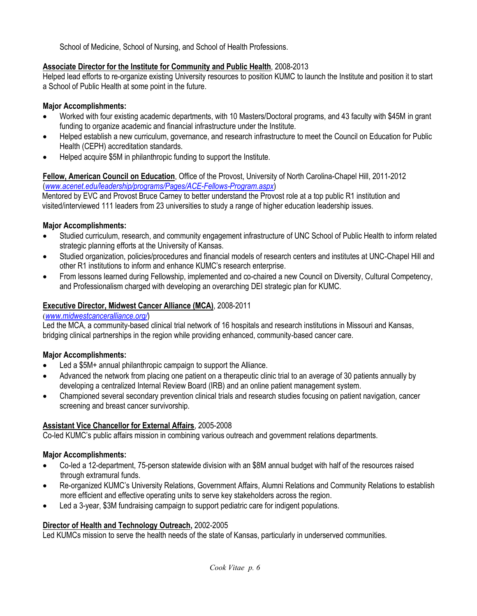School of Medicine, School of Nursing, and School of Health Professions.

## **Associate Director for the Institute for Community and Public Health**, 2008-2013

Helped lead efforts to re-organize existing University resources to position KUMC to launch the Institute and position it to start a School of Public Health at some point in the future.

## **Major Accomplishments:**

- Worked with four existing academic departments, with 10 Masters/Doctoral programs, and 43 faculty with \$45M in grant funding to organize academic and financial infrastructure under the Institute.
- Helped establish a new curriculum, governance, and research infrastructure to meet the Council on Education for Public Health (CEPH) accreditation standards.
- Helped acquire \$5M in philanthropic funding to support the Institute.

## **Fellow, American Council on Education**, Office of the Provost, University of North Carolina-Chapel Hill, 2011-2012 (*www.acenet.edu/leadership/programs/Pages/ACE-Fellows-Program.aspx*)

Mentored by EVC and Provost Bruce Carney to better understand the Provost role at a top public R1 institution and visited/interviewed 111 leaders from 23 universities to study a range of higher education leadership issues.

## **Major Accomplishments:**

- Studied curriculum, research, and community engagement infrastructure of UNC School of Public Health to inform related strategic planning efforts at the University of Kansas.
- Studied organization, policies/procedures and financial models of research centers and institutes at UNC-Chapel Hill and other R1 institutions to inform and enhance KUMC's research enterprise.
- From lessons learned during Fellowship, implemented and co-chaired a new Council on Diversity, Cultural Competency, and Professionalism charged with developing an overarching DEI strategic plan for KUMC.

## **Executive Director, Midwest Cancer Alliance (MCA)**, 2008-2011

## (*www.midwestcanceralliance.org/*)

Led the MCA, a community-based clinical trial network of 16 hospitals and research institutions in Missouri and Kansas, bridging clinical partnerships in the region while providing enhanced, community-based cancer care.

## **Major Accomplishments:**

- Led a \$5M + annual philanthropic campaign to support the Alliance.
- Advanced the network from placing one patient on a therapeutic clinic trial to an average of 30 patients annually by developing a centralized Internal Review Board (IRB) and an online patient management system.
- Championed several secondary prevention clinical trials and research studies focusing on patient navigation, cancer screening and breast cancer survivorship.

# **Assistant Vice Chancellor for External Affairs**, 2005-2008

Co-led KUMC's public affairs mission in combining various outreach and government relations departments.

# **Major Accomplishments:**

- Co-led a 12-department, 75-person statewide division with an \$8M annual budget with half of the resources raised through extramural funds.
- Re-organized KUMC's University Relations, Government Affairs, Alumni Relations and Community Relations to establish more efficient and effective operating units to serve key stakeholders across the region.
- Led a 3-year, \$3M fundraising campaign to support pediatric care for indigent populations.

## **Director of Health and Technology Outreach,** 2002-2005

Led KUMCs mission to serve the health needs of the state of Kansas, particularly in underserved communities.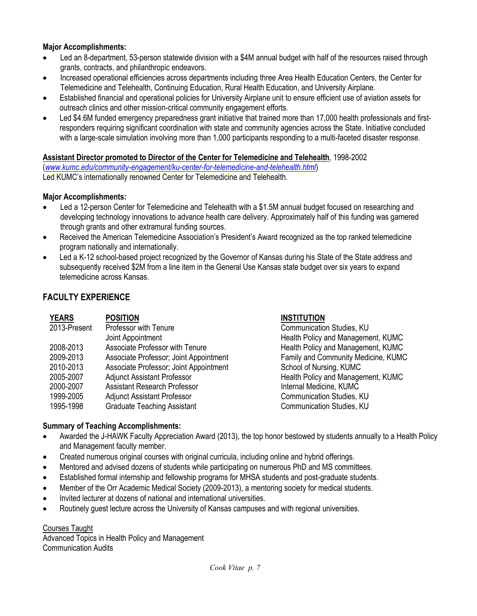## **Major Accomplishments:**

- Led an 8-department, 53-person statewide division with a \$4M annual budget with half of the resources raised through grants, contracts, and philanthropic endeavors.
- Increased operational efficiencies across departments including three Area Health Education Centers, the Center for Telemedicine and Telehealth, Continuing Education, Rural Health Education, and University Airplane.
- Established financial and operational policies for University Airplane unit to ensure efficient use of aviation assets for outreach clinics and other mission-critical community engagement efforts.
- Led \$4.6M funded emergency preparedness grant initiative that trained more than 17,000 health professionals and firstresponders requiring significant coordination with state and community agencies across the State. Initiative concluded with a large-scale simulation involving more than 1,000 participants responding to a multi-faceted disaster response.

## **Assistant Director promoted to Director of the Center for Telemedicine and Telehealth**, 1998-2002

(*www.kumc.edu/community-engagement/ku-center-for-telemedicine-and-telehealth.html*) Led KUMC's internationally renowned Center for Telemedicine and Telehealth.

#### **Major Accomplishments:**

- Led a 12-person Center for Telemedicine and Telehealth with a \$1.5M annual budget focused on researching and developing technology innovations to advance health care delivery. Approximately half of this funding was garnered through grants and other extramural funding sources.
- Received the American Telemedicine Association's President's Award recognized as the top ranked telemedicine program nationally and internationally.
- Led a K-12 school-based project recognized by the Governor of Kansas during his State of the State address and subsequently received \$2M from a line item in the General Use Kansas state budget over six years to expand telemedicine across Kansas.

# **FACULTY EXPERIENCE**

| <b>YEARS</b> | <b>POSITION</b>                        | <b>INSTITUTION</b>                  |
|--------------|----------------------------------------|-------------------------------------|
| 2013-Present | Professor with Tenure                  | Communication Studies, KU           |
|              | Joint Appointment                      | Health Policy and Management, KUMC  |
| 2008-2013    | Associate Professor with Tenure        | Health Policy and Management, KUMC  |
| 2009-2013    | Associate Professor; Joint Appointment | Family and Community Medicine, KUMC |
| 2010-2013    | Associate Professor; Joint Appointment | School of Nursing, KUMC             |
| 2005-2007    | <b>Adjunct Assistant Professor</b>     | Health Policy and Management, KUMC  |
| 2000-2007    | <b>Assistant Research Professor</b>    | Internal Medicine, KUMC             |
| 1999-2005    | <b>Adjunct Assistant Professor</b>     | <b>Communication Studies, KU</b>    |
| 1995-1998    | <b>Graduate Teaching Assistant</b>     | <b>Communication Studies, KU</b>    |

#### **Summary of Teaching Accomplishments:**

- Awarded the J-HAWK Faculty Appreciation Award (2013), the top honor bestowed by students annually to a Health Policy and Management faculty member.
- Created numerous original courses with original curricula, including online and hybrid offerings.
- Mentored and advised dozens of students while participating on numerous PhD and MS committees.
- Established formal internship and fellowship programs for MHSA students and post-graduate students.
- Member of the Orr Academic Medical Society (2009-2013), a mentoring society for medical students.
- Invited lecturer at dozens of national and international universities.
- Routinely guest lecture across the University of Kansas campuses and with regional universities.

Courses Taught

Advanced Topics in Health Policy and Management Communication Audits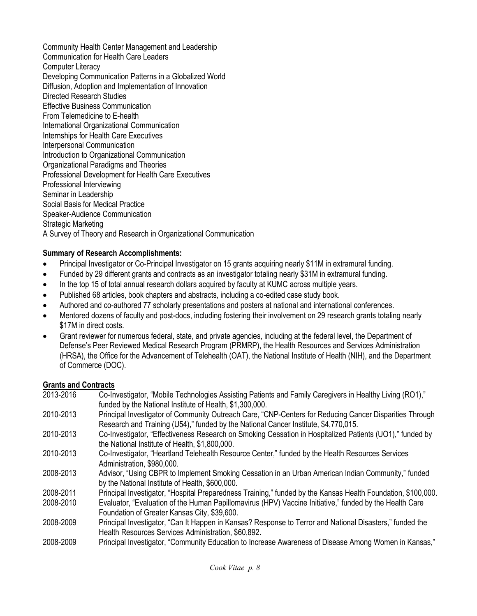Community Health Center Management and Leadership Communication for Health Care Leaders Computer Literacy Developing Communication Patterns in a Globalized World Diffusion, Adoption and Implementation of Innovation Directed Research Studies Effective Business Communication From Telemedicine to E-health International Organizational Communication Internships for Health Care Executives Interpersonal Communication Introduction to Organizational Communication Organizational Paradigms and Theories Professional Development for Health Care Executives Professional Interviewing Seminar in Leadership Social Basis for Medical Practice Speaker-Audience Communication Strategic Marketing A Survey of Theory and Research in Organizational Communication

# **Summary of Research Accomplishments:**

- Principal Investigator or Co-Principal Investigator on 15 grants acquiring nearly \$11M in extramural funding.
- Funded by 29 different grants and contracts as an investigator totaling nearly \$31M in extramural funding.
- In the top 15 of total annual research dollars acquired by faculty at KUMC across multiple years.
- Published 68 articles, book chapters and abstracts, including a co-edited case study book.
- Authored and co-authored 77 scholarly presentations and posters at national and international conferences.
- Mentored dozens of faculty and post-docs, including fostering their involvement on 29 research grants totaling nearly \$17M in direct costs.
- Grant reviewer for numerous federal, state, and private agencies, including at the federal level, the Department of Defense's Peer Reviewed Medical Research Program (PRMRP), the Health Resources and Services Administration (HRSA), the Office for the Advancement of Telehealth (OAT), the National Institute of Health (NIH), and the Department of Commerce (DOC).

## **Grants and Contracts**

| 2013-2016 | Co-Investigator, "Mobile Technologies Assisting Patients and Family Caregivers in Healthy Living (RO1),"<br>funded by the National Institute of Health, \$1,300,000.                           |
|-----------|------------------------------------------------------------------------------------------------------------------------------------------------------------------------------------------------|
| 2010-2013 | Principal Investigator of Community Outreach Care, "CNP-Centers for Reducing Cancer Disparities Through<br>Research and Training (U54)," funded by the National Cancer Institute, \$4,770,015. |
| 2010-2013 | Co-Investigator, "Effectiveness Research on Smoking Cessation in Hospitalized Patients (UO1)," funded by<br>the National Institute of Health, \$1,800,000.                                     |
| 2010-2013 | Co-Investigator, "Heartland Telehealth Resource Center," funded by the Health Resources Services<br>Administration, \$980,000.                                                                 |
| 2008-2013 | Advisor, "Using CBPR to Implement Smoking Cessation in an Urban American Indian Community," funded<br>by the National Institute of Health, \$600,000.                                          |
| 2008-2011 | Principal Investigator, "Hospital Preparedness Training," funded by the Kansas Health Foundation, \$100,000.                                                                                   |
| 2008-2010 | Evaluator, "Evaluation of the Human Papillomavirus (HPV) Vaccine Initiative," funded by the Health Care<br>Foundation of Greater Kansas City, \$39,600.                                        |
| 2008-2009 | Principal Investigator, "Can It Happen in Kansas? Response to Terror and National Disasters," funded the<br>Health Resources Services Administration, \$60,892.                                |
| 2008-2009 | Principal Investigator, "Community Education to Increase Awareness of Disease Among Women in Kansas,"                                                                                          |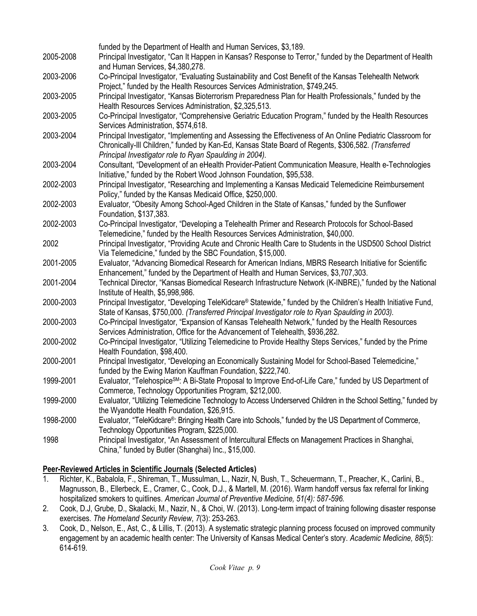|           | funded by the Department of Health and Human Services, \$3,189.                                                      |
|-----------|----------------------------------------------------------------------------------------------------------------------|
| 2005-2008 | Principal Investigator, "Can It Happen in Kansas? Response to Terror," funded by the Department of Health            |
|           | and Human Services, \$4,380,278.                                                                                     |
| 2003-2006 | Co-Principal Investigator, "Evaluating Sustainability and Cost Benefit of the Kansas Telehealth Network              |
|           | Project," funded by the Health Resources Services Administration, \$749,245.                                         |
| 2003-2005 | Principal Investigator, "Kansas Bioterrorism Preparedness Plan for Health Professionals," funded by the              |
|           | Health Resources Services Administration, \$2,325,513.                                                               |
| 2003-2005 | Co-Principal Investigator, "Comprehensive Geriatric Education Program," funded by the Health Resources               |
|           | Services Administration, \$574,618.                                                                                  |
| 2003-2004 | Principal Investigator, "Implementing and Assessing the Effectiveness of An Online Pediatric Classroom for           |
|           | Chronically-Ill Children," funded by Kan-Ed, Kansas State Board of Regents, \$306,582. (Transferred                  |
|           | Principal Investigator role to Ryan Spaulding in 2004).                                                              |
| 2003-2004 | Consultant, "Development of an eHealth Provider-Patient Communication Measure, Health e-Technologies                 |
|           | Initiative," funded by the Robert Wood Johnson Foundation, \$95,538.                                                 |
| 2002-2003 | Principal Investigator, "Researching and Implementing a Kansas Medicaid Telemedicine Reimbursement                   |
|           | Policy," funded by the Kansas Medicaid Office, \$250,000.                                                            |
| 2002-2003 | Evaluator, "Obesity Among School-Aged Children in the State of Kansas," funded by the Sunflower                      |
|           | Foundation, \$137,383.                                                                                               |
| 2002-2003 | Co-Principal Investigator, "Developing a Telehealth Primer and Research Protocols for School-Based                   |
|           | Telemedicine," funded by the Health Resources Services Administration, \$40,000.                                     |
| 2002      | Principal Investigator, "Providing Acute and Chronic Health Care to Students in the USD500 School District           |
|           | Via Telemedicine," funded by the SBC Foundation, \$15,000.                                                           |
| 2001-2005 | Evaluator, "Advancing Biomedical Research for American Indians, MBRS Research Initiative for Scientific              |
|           | Enhancement," funded by the Department of Health and Human Services, \$3,707,303.                                    |
| 2001-2004 | Technical Director, "Kansas Biomedical Research Infrastructure Network (K-INBRE)," funded by the National            |
|           | Institute of Health, \$5,998,986.                                                                                    |
| 2000-2003 | Principal Investigator, "Developing TeleKidcare® Statewide," funded by the Children's Health Initiative Fund,        |
|           | State of Kansas, \$750,000. (Transferred Principal Investigator role to Ryan Spaulding in 2003).                     |
| 2000-2003 | Co-Principal Investigator, "Expansion of Kansas Telehealth Network," funded by the Health Resources                  |
|           | Services Administration, Office for the Advancement of Telehealth, \$936,282.                                        |
| 2000-2002 | Co-Principal Investigator, "Utilizing Telemedicine to Provide Healthy Steps Services," funded by the Prime           |
|           | Health Foundation, \$98,400.                                                                                         |
| 2000-2001 | Principal Investigator, "Developing an Economically Sustaining Model for School-Based Telemedicine,"                 |
|           | funded by the Ewing Marion Kauffman Foundation, \$222,740.                                                           |
| 1999-2001 | Evaluator, "Telehospice <sup>SM</sup> : A Bi-State Proposal to Improve End-of-Life Care," funded by US Department of |
|           | Commerce, Technology Opportunities Program, \$212,000.                                                               |
| 1999-2000 | Evaluator, "Utilizing Telemedicine Technology to Access Underserved Children in the School Setting," funded by       |
|           | the Wyandotte Health Foundation, \$26,915.                                                                           |
| 1998-2000 | Evaluator, "TeleKidcare®: Bringing Health Care into Schools," funded by the US Department of Commerce,               |
|           | Technology Opportunities Program, \$225,000.                                                                         |
| 1998      | Principal Investigator, "An Assessment of Intercultural Effects on Management Practices in Shanghai,                 |
|           | China," funded by Butler (Shanghai) Inc., \$15,000.                                                                  |

# **Peer-Reviewed Articles in Scientific Journals (Selected Articles)**

- 1. Richter, K., Babalola, F., Shireman, T., Mussulman, L., Nazir, N, Bush, T., Scheuermann, T., Preacher, K., Carlini, B., Magnusson, B., Ellerbeck, E., Cramer, C., Cook, D.J., & Martell, M. (2016). Warm handoff versus fax referral for linking hospitalized smokers to quitlines. *American Journal of Preventive Medicine, 51(4): 587-596.*
- 2. Cook, D.J, Grube, D., Skalacki, M., Nazir, N., & Choi, W. (2013). Long-term impact of training following disaster response exercises. *The Homeland Security Review*, *7*(3): 253-263.
- 3. Cook, D., Nelson, E., Ast, C., & Lillis, T. (2013). A systematic strategic planning process focused on improved community engagement by an academic health center: The University of Kansas Medical Center's story. *Academic Medicine, 88*(5): 614-619.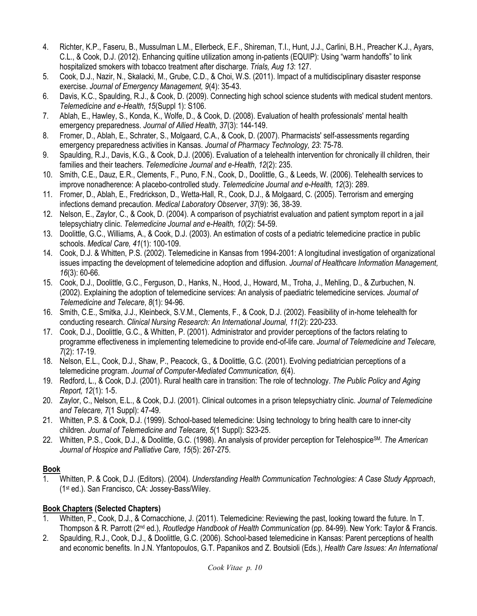- 4. Richter, K.P., Faseru, B., Mussulman L.M., Ellerbeck, E.F., Shireman, T.I., Hunt, J.J., Carlini, B.H., Preacher K.J., Ayars, C.L., & Cook, D.J. (2012). Enhancing quitline utilization among in-patients (EQUIP): Using "warm handoffs" to link hospitalized smokers with tobacco treatment after discharge. *Trials, Aug 13*: 127.
- 5. Cook, D.J., Nazir, N., Skalacki, M., Grube, C.D., & Choi, W.S. (2011). Impact of a multidisciplinary disaster response exercise. *Journal of Emergency Management, 9*(4): 35-43.
- 6. Davis, K.C., Spaulding, R.J., & Cook, D. (2009). Connecting high school science students with medical student mentors. *Telemedicine and e-Health*, *15*(Suppl 1): S106.
- 7. Ablah, E., Hawley, S., Konda, K., Wolfe, D., & Cook, D. (2008). Evaluation of health professionals' mental health emergency preparedness. *Journal of Allied Health, 37*(3): 144-149.
- 8. Fromer, D., Ablah, E., Schrater, S., Molgaard, C.A., & Cook, D. (2007). Pharmacists' self-assessments regarding emergency preparedness activities in Kansas. *Journal of Pharmacy Technology, 23*: 75-78.
- 9. Spaulding, R.J., Davis, K.G., & Cook, D.J. (2006). Evaluation of a telehealth intervention for chronically ill children, their families and their teachers. *Telemedicine Journal and e-Health*, *12*(2): 235.
- 10. Smith, C.E., Dauz, E.R., Clements, F., Puno, F.N., Cook, D., Doolittle, G., & Leeds, W. (2006). Telehealth services to improve nonadherence: A placebo-controlled study. *Telemedicine Journal and e-Health, 12*(3): 289.
- 11. Fromer, D., Ablah, E., Fredrickson, D., Wetta-Hall, R., Cook, D.J., & Molgaard, C. (2005). Terrorism and emerging infections demand precaution. *Medical Laboratory Observer*, *37*(9): 36, 38-39.
- 12. Nelson, E., Zaylor, C., & Cook, D. (2004). A comparison of psychiatrist evaluation and patient symptom report in a jail telepsychiatry clinic. *Telemedicine Journal and e-Health, 10*(2): 54-59.
- 13. Doolittle, G.C., Williams, A., & Cook, D.J. (2003). An estimation of costs of a pediatric telemedicine practice in public schools. *Medical Care, 41*(1): 100-109.
- 14. Cook, D.J. & Whitten, P.S. (2002). Telemedicine in Kansas from 1994-2001: A longitudinal investigation of organizational issues impacting the development of telemedicine adoption and diffusion. *Journal of Healthcare Information Management, 16*(3): 60-66.
- 15. Cook, D.J., Doolittle, G.C., Ferguson, D., Hanks, N., Hood, J., Howard, M., Troha, J., Mehling, D., & Zurbuchen, N. (2002). Explaining the adoption of telemedicine services: An analysis of paediatric telemedicine services. *Journal of Telemedicine and Telecare*, *8*(1): 94-96.
- 16. Smith, C.E., Smitka, J.J., Kleinbeck, S.V.M., Clements, F., & Cook, D.J. (2002). Feasibility of in-home telehealth for conducting research. *Clinical Nursing Research: An International Journal, 11*(2): 220-233.
- 17. Cook, D.J., Doolittle, G.C., & Whitten, P. (2001). Administrator and provider perceptions of the factors relating to programme effectiveness in implementing telemedicine to provide end-of-life care. *Journal of Telemedicine and Telecare, 7*(2): 17-19.
- 18. Nelson, E.L., Cook, D.J., Shaw, P., Peacock, G., & Doolittle, G.C. (2001). Evolving pediatrician perceptions of a telemedicine program. *Journal of Computer-Mediated Communication, 6*(4).
- 19. Redford, L., & Cook, D.J. (2001). Rural health care in transition: The role of technology. *The Public Policy and Aging Report, 12*(1): 1-5.
- 20. Zaylor, C., Nelson, E.L., & Cook, D.J. (2001). Clinical outcomes in a prison telepsychiatry clinic. *Journal of Telemedicine and Telecare, 7*(1 Suppl): 47-49.
- 21. Whitten, P.S. & Cook, D.J. (1999). School-based telemedicine: Using technology to bring health care to inner-city children. *Journal of Telemedicine and Telecare, 5*(1 Suppl): S23-25.
- 22. Whitten, P.S., Cook, D.J., & Doolittle, G.C. (1998). An analysis of provider perception for TelehospiceSM*. The American Journal of Hospice and Palliative Care, 15*(5): 267-275.

# **Book**

1. Whitten, P. & Cook, D.J. (Editors). (2004). *Understanding Health Communication Technologies: A Case Study Approach*, (1st ed.). San Francisco, CA: Jossey-Bass/Wiley.

# **Book Chapters (Selected Chapters)**

- 1. Whitten, P., Cook, D.J., & Cornacchione, J. (2011). Telemedicine: Reviewing the past, looking toward the future. In T. Thompson & R. Parrott (2nd ed.), *Routledge Handbook of Health Communication* (pp. 84-99). New York: Taylor & Francis.
- 2. Spaulding, R.J., Cook, D.J., & Doolittle, G.C. (2006). School-based telemedicine in Kansas: Parent perceptions of health and economic benefits. In J.N. Yfantopoulos, G.T. Papanikos and Z. Boutsioli (Eds.), *Health Care Issues: An International*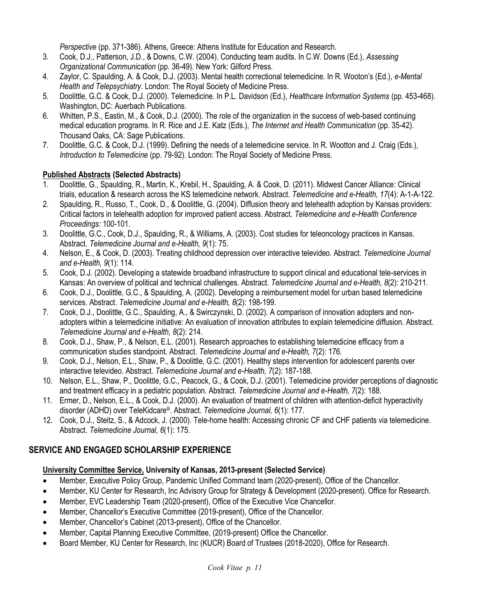*Perspective* (pp. 371-386). Athens, Greece: Athens Institute for Education and Research.

- 3. Cook, D.J., Patterson, J.D., & Downs, C.W. (2004). Conducting team audits. In C.W. Downs (Ed.), *Assessing Organizational Communication* (pp. 36-49). New York: Gilford Press.
- 4. Zaylor, C. Spaulding, A. & Cook, D.J. (2003). Mental health correctional telemedicine. In R. Wooton's (Ed.), *e-Mental Health and Telepsychiatry*. London: The Royal Society of Medicine Press.
- 5. Doolittle, G.C. & Cook, D.J. (2000). Telemedicine. In P.L. Davidson (Ed.), *Healthcare Information Systems* (pp. 453-468). Washington, DC: Auerbach Publications.
- 6. Whitten, P.S., Eastin, M., & Cook, D.J. (2000). The role of the organization in the success of web-based continuing medical education programs. In R. Rice and J.E. Katz (Eds.), *The Internet and Health Communication* (pp. 35-42). Thousand Oaks, CA: Sage Publications.
- 7. Doolittle, G.C. & Cook, D.J. (1999). Defining the needs of a telemedicine service. In R. Wootton and J. Craig (Eds.), *Introduction to Telemedicine* (pp. 79-92). London: The Royal Society of Medicine Press.

# **Published Abstracts (Selected Abstracts)**

- 1. Doolittle, G., Spaulding, R., Martin, K., Krebil, H., Spaulding, A. & Cook, D. (2011). Midwest Cancer Alliance: Clinical trials, education & research across the KS telemedicine network. Abstract. *Telemedicine and e-Health, 17*(4): A-1-A-122.
- 2. Spaulding, R., Russo, T., Cook, D., & Doolittle, G. (2004). Diffusion theory and telehealth adoption by Kansas providers: Critical factors in telehealth adoption for improved patient access. Abstract. *Telemedicine and e-Health Conference Proceedings:* 100-101.
- 3. Doolittle, G.C., Cook, D.J., Spaulding, R., & Williams, A. (2003). Cost studies for teleoncology practices in Kansas. Abstract. *Telemedicine Journal and e-Health, 9*(1): 75.
- 4. Nelson, E., & Cook, D. (2003). Treating childhood depression over interactive televideo. Abstract. *Telemedicine Journal and e-Health, 9*(1): 114.
- 5. Cook, D.J. (2002). Developing a statewide broadband infrastructure to support clinical and educational tele-services in Kansas: An overview of political and technical challenges. Abstract. *Telemedicine Journal and e-Health, 8*(2): 210-211.
- 6. Cook, D.J., Doolittle, G.C., & Spaulding, A. (2002). Developing a reimbursement model for urban based telemedicine services*.* Abstract. *Telemedicine Journal and e-Health, 8*(2): 198-199.
- 7. Cook, D.J., Doolittle, G.C., Spaulding, A., & Swirczynski, D. (2002). A comparison of innovation adopters and nonadopters within a telemedicine initiative: An evaluation of innovation attributes to explain telemedicine diffusion. Abstract. *Telemedicine Journal and e-Health, 8*(2): 214.
- 8. Cook, D.J., Shaw, P., & Nelson, E.L. (2001). Research approaches to establishing telemedicine efficacy from a communication studies standpoint. Abstract. *Telemedicine Journal and e-Health, 7*(2): 176.
- 9. Cook, D.J., Nelson, E.L., Shaw, P., & Doolittle, G.C. (2001). Healthy steps intervention for adolescent parents over interactive televideo. Abstract. *Telemedicine Journal and e-Health, 7*(2): 187-188.
- 10. Nelson, E.L., Shaw, P., Doolittle, G.C., Peacock, G., & Cook, D.J. (2001). Telemedicine provider perceptions of diagnostic and treatment efficacy in a pediatric population. Abstract. *Telemedicine Journal and e-Health, 7*(2): 188.
- 11. Ermer, D., Nelson, E.L., & Cook, D.J. (2000). An evaluation of treatment of children with attention-deficit hyperactivity disorder (ADHD) over TeleKidcare®. Abstract. *Telemedicine Journal, 6*(1): 177.
- 12. Cook, D.J., Steitz, S., & Adcock, J. (2000). Tele-home health: Accessing chronic CF and CHF patients via telemedicine. Abstract. *Telemedicine Journal, 6*(1): 175.

# **SERVICE AND ENGAGED SCHOLARSHIP EXPERIENCE**

# **University Committee Service, University of Kansas, 2013-present (Selected Service)**

- Member, Executive Policy Group, Pandemic Unified Command team (2020-present), Office of the Chancellor.
- Member, KU Center for Research, Inc Advisory Group for Strategy & Development (2020-present). Office for Research.
- Member, EVC Leadership Team (2020-present), Office of the Executive Vice Chancellor.
- Member, Chancellor's Executive Committee (2019-present), Office of the Chancellor.
- Member, Chancellor's Cabinet (2013-present), Office of the Chancellor.
- Member, Capital Planning Executive Committee, (2019-present) Office the Chancellor.
- Board Member, KU Center for Research, Inc (KUCR) Board of Trustees (2018-2020), Office for Research.